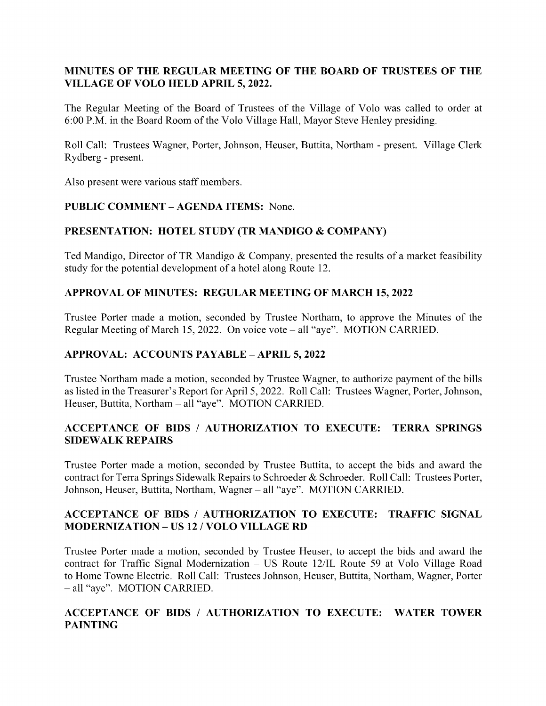# MINUTES OF THE REGULAR MEETING OF THE BOARD OF TRUSTEES OF THE VILLAGE OF VOLO HELD APRIL 5, 2022.

The Regular Meeting of the Board of Trustees of the Village of Volo was called to order at 6:00 P.M. in the Board Room of the Volo Village Hall, Mayor Steve Henley presiding.

Roll Call: Trustees Wagner, Porter, Johnson, Heuser, Buttita, Northam - present. Village Clerk Rydberg - present.

Also present were various staff members.

## PUBLIC COMMENT – AGENDA ITEMS: None.

## PRESENTATION: HOTEL STUDY (TR MANDIGO & COMPANY)

Ted Mandigo, Director of TR Mandigo & Company, presented the results of a market feasibility study for the potential development of a hotel along Route 12.

#### APPROVAL OF MINUTES: REGULAR MEETING OF MARCH 15, 2022

Trustee Porter made a motion, seconded by Trustee Northam, to approve the Minutes of the Regular Meeting of March 15, 2022. On voice vote – all "aye". MOTION CARRIED.

### APPROVAL: ACCOUNTS PAYABLE – APRIL 5, 2022

Trustee Northam made a motion, seconded by Trustee Wagner, to authorize payment of the bills as listed in the Treasurer's Report for April 5, 2022. Roll Call: Trustees Wagner, Porter, Johnson, Heuser, Buttita, Northam – all "aye". MOTION CARRIED.

## ACCEPTANCE OF BIDS / AUTHORIZATION TO EXECUTE: TERRA SPRINGS SIDEWALK REPAIRS

Trustee Porter made a motion, seconded by Trustee Buttita, to accept the bids and award the contract for Terra Springs Sidewalk Repairs to Schroeder & Schroeder. Roll Call: Trustees Porter, Johnson, Heuser, Buttita, Northam, Wagner – all "aye". MOTION CARRIED.

## ACCEPTANCE OF BIDS / AUTHORIZATION TO EXECUTE: TRAFFIC SIGNAL MODERNIZATION – US 12 / VOLO VILLAGE RD

Trustee Porter made a motion, seconded by Trustee Heuser, to accept the bids and award the contract for Traffic Signal Modernization – US Route 12/IL Route 59 at Volo Village Road to Home Towne Electric. Roll Call: Trustees Johnson, Heuser, Buttita, Northam, Wagner, Porter all "aye". MOTION CARRIED.

# ACCEPTANCE OF BIDS / AUTHORIZATION TO EXECUTE: WATER TOWER PAINTING